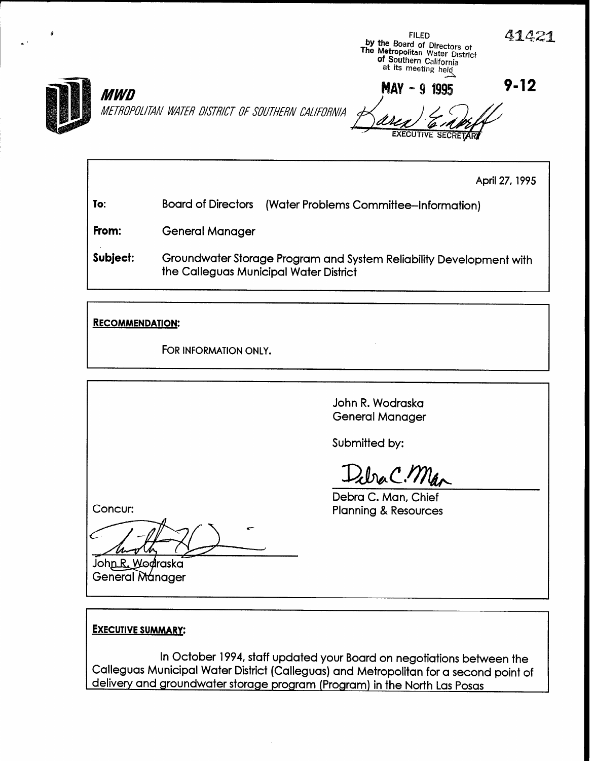

April 27,1995

To: Board of Directors (Water Problems Committee-information)

From: General Manager

Subject: Groundwater Storage Program and System Reliability Development with the Calleguas Municipal Water District

RECOMMENDATION:

MM0

FOR INFORMATION ONLY.

John R. Wodraska General Manager

Submitted by:

Debra C. Man

Debra C. Man, Chief Planning & Resources

Concur:

John R. Wodraska **General Manager** 

# **EXECUTIVE SUMMARY:**

In October 1994, staff updated your Board on negotiations between the Calleguas Municipal Water District (Callegua) and Metropolitan for a second point of a second point of a second point of  $\sim$ delivery and groundwater storage programs (Colleguas) and Memopolitan for a secon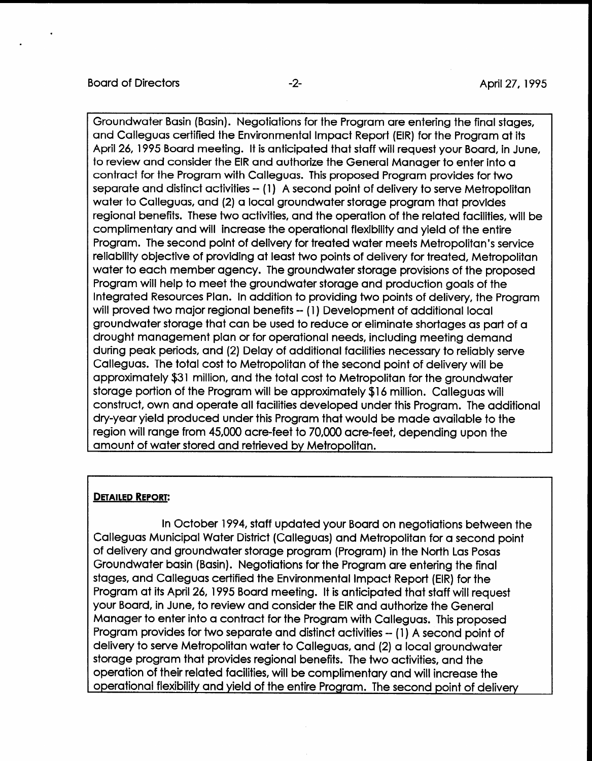Groundwater Basin [Basin). Negotiations for the Program are entering the final stages, and Calleguas certified the Environmental Impact Report (EIR) for the Program at its April 26, 1995 Board meeting. It is anticipated that staff will request your Board, in June, to review and consider the EIR and authorize the General Manager to enter into a contract for the Program with Calleguas. This proposed Program provides for two separate and distinct activities -- (1) A second point of delivery to serve Metropolitan water to Calleguas, and (2) a local groundwater storage program that provides regional benefits. These two activities, and the operation of the related facilities, will be complimentary and will increase the operational flexibility and yield of the entire Program. The second point of delivery for treated water meets Metropolitan's service reliability objective of providing at least two points of delivery for treated, Metropolitan water to each member agency. The groundwater storage provisions of the proposed Program will help to meet the groundwater storage and production goals of the Integrated Resources Plan. In addition to providing two points of delivery, the Program will proved two major regional benefits -- (1) Development of additional local groundwater storage that can be used to reduce or eliminate shortages as part of a drought management plan or for operational needs, including meeting demand during peak periods, and (2) Delay of additional facilities necessary to reliably serve Calleguas. The total cost to Metropolitan of the second point of delivery will be approximately \$31 million, and the total cost to Metropolitan for the groundwater storage portion of the Program will be approximately \$16 million. Calleguas will construct, own and operate all facilities developed under this Program. The additional dry-year yield produced under this Program that would be made available to the region will range from 45,000 acre-feet to 70,000 acre-feet, depending upon the amount of water stored and retrieved by Metropolitan.

#### DETAILED REPORT:

In October 1994, staff updated your Board on negotiations between the Calleguia Municipal Water District (Calleguas district (Calleguas) and Metropolitan for a second point point point point point of a second point of a second point of a second point of a second point of a second point of a Calleguas Municipal Water District (Calleguas) and Metropolitan for a second point of delivery and groundwater storage program (Program) in the North Las Posas Groundwater basin (Basin). Negotiations for the Program are entering the final stages, and Calleguas certified the Environmental Impact Report (EIR) for the Program at its April 26, 1995 Board meeting. It is anticipated that staff will request your Board, in June, to review and consider the EIR and authorize the General Manager to enter into a contract for the Program with Calleguas. This proposed Program provides for two separate and distinct activities -- (1) A second point of delivery to serve Metropolitan water to Calleguas, and (2) a local aroundwater storage program that provides regional benefits. The two activities, and the operation of their related facilities, will be complimentary and will increase the<br>operational flexibility and yield of the entire Program. The second point of delivery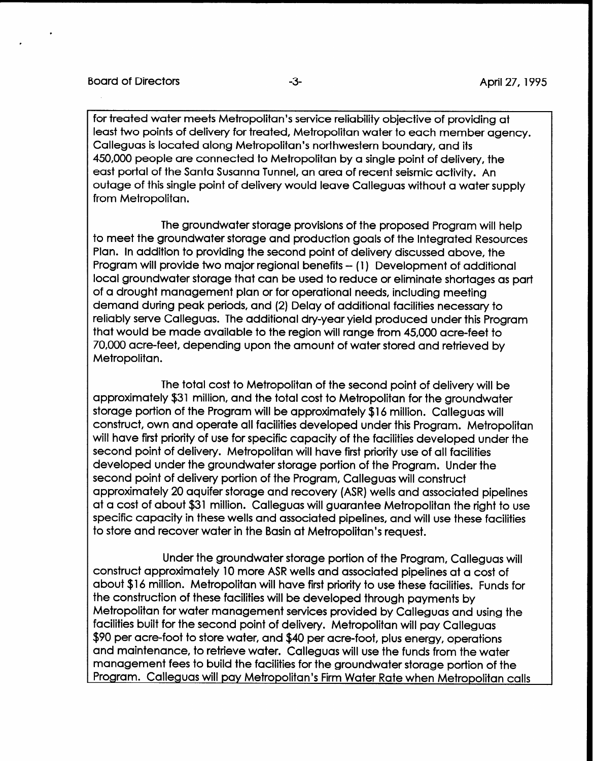for treated water meets Metropolitan's service reliability objective of providing at least two points of delivery for treated, Metropolitan water to each member agency. Calleguas is located along Metropolitan's northwestern boundary, and its 450,000 people are connected to Metropolitan by a single point of delivery, the east portal of the Santa Susanna Tunnel, an area of recent seismic activity. An outage of this single point of delivery would leave Calleguas without a water supply from Metropolitan.

The groundwater storage provisions of the proposed Program will help to meet the groundwater storage and production goals of the Integrated Resources Plan. In addition to providing the second point of delivery discussed above, the Program will provide two major regional benefits -- (1) Development of additional local groundwater storage that can be used to reduce or eliminate shortages as part of a drought management plan or for operational needs, including meeting demand during peak periods, and (2) Delay of additional facilities necessary to reliably serve Calleguas. The additional dry-year yield produced under this Program that would be made available to the region will range from 45,000 acre-feet to 70,000 acre-feet, depending upon the amount of water stored and retrieved by Metropolitan.

The total cost to Metropolitan of the second point of delivery will be approximately \$31 million, and the total cost to Metropolitan for the groundwater storage portion of the Program will be approximately \$16 million. Calleguas will construct, own and operate all facilities developed under this Program. Metropolitan will have first priority of use for specific capacity of the facilities developed under the second point of delivery. Metropolitan will have first priority use of all facilities developed under the groundwater storage portion of the Program. Under the second point of delivery portion of the Program, Calleguas will construct approximately 20 aquifer storage and recovery (ASR) wells and associated pipelines at a cost of about \$31 million. Calleguas will guarantee Metropolitan the right to use specific capacity in these wells and associated pipelines, and will use these facilities to store and recover water in the Basin at Metropolitan's request.

Under the groundwater storage portion of the Program, Calleguas will construct approximately 10 more ASR wells and associated pipelines at a cost of about \$16 million. Metropolitan will have first priority to use these facilities. Funds for the construction of these facilities will be developed through payments by Metropolitan for water management services provided by Calleguas and using the facilities built for the second point of delivery. Metropolitan will pay Calleguas \$90 per acre-foot to store water, and \$40 per acre-foot, plus energy, operations and maintenance, to retrieve water. Calleguas will use the funds from the water management fees to build the facilities for the groundwater storage portion of the Program. Calleguas will pay Metropolitan's Firm Water Rate when Metropolitan calls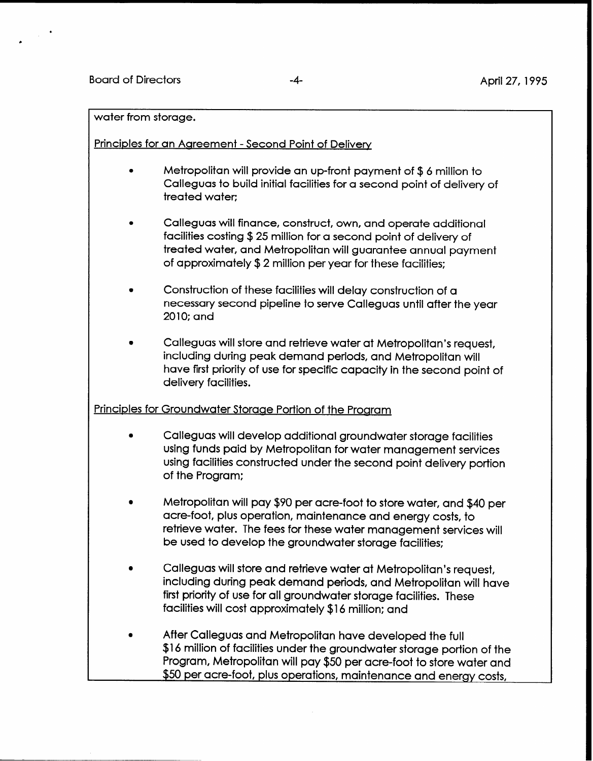Principles for an Aareement - Second Point of Delivery

- Metropolitan will provide an up-front payment of \$6 million to Calleguas to build initial facilities for a second point of delivery of treated water:
- 0 Calleguas will finance, construct, own, and operate additional facilities costing \$25 million for a second point of delivery of treated water, and Metropolitan will guarantee annual payment of approximately \$2 million per year for these facilities:
- 0 Construction of these facilities will delay construction of a necessary second pipeline to serve Calleguas until after the year 2010; and
- 0 Calleguas will store and retrieve water at Metropolitan's request, including during peak demand periods, and Metropolitan will have first priority of use for specific capacity in the second point of delivery facilities.

## Principles for Groundwater Storage Portion of the Program

- 0 Calleguas will develop additional groundwater storage facilities using funds paid by Metropolitan for water management services using facilities constructed under the second point delivery portion of the Program;
- 0 Metropolitan will pay \$90 per acre-foot to store water, and \$40 per acre-foot, plus operation, maintenance and energy costs, to retrieve water. The fees for these water management services will be used to develop the groundwater storage facilities:
- Calleguas will store and retrieve water at Metropolitan's request, including during peak demand periods, and Metropolitan will have first priority of use for all groundwater storage facilities. These facilities will cost approximately \$16 million: and
- After Calleguas and Metropolitan have developed the full \$16 million of facilities under the groundwater storage portion of the Program, Metropolitan will pay \$50 per acre-foot to store water and \$50 per acre-foot, plus operations, maintenance and energy costs,